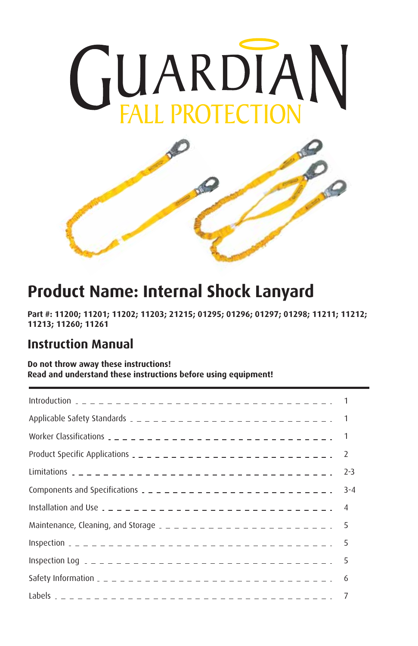



# **Product Name: Internal Shock Lanyard**

**Part #: 11200; 11201; 11202; 11203; 21215; 01295; 01296; 01297; 01298; 11211; 11212; 11213; 11260; 11261**

### **Instruction Manual**

#### **Do not throw away these instructions! Read and understand these instructions before using equipment!**

| Product Specific Applications $2 - 2 - 2 - 2 - 2 - 2 - 2 - 2 - 2 = 2$     |         |
|---------------------------------------------------------------------------|---------|
|                                                                           | $2 - 3$ |
| Components and Specifications $2 - 2 - 2 - 2 - 2 - 2 - 2 - 2 - 2 - 2 - 2$ | $3 - 4$ |
|                                                                           |         |
| Maintenance, Cleaning, and Storage $2 - 2 - 2 - 2 - 2 - 2 - 2 - 2 - 5$    |         |
|                                                                           |         |
|                                                                           |         |
|                                                                           | -6      |
|                                                                           |         |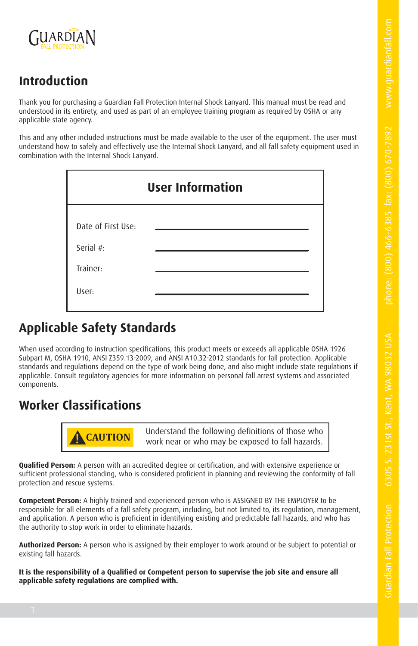Guardian Fall Protection 6305 S. 231st St., Kent, W



# **Introduction**

Thank you for purchasing a Guardian Fall Protection Internal Shock Lanyard. This manual must be read and understood in its entirety, and used as part of an employee training program as required by OSHA or any applicable state agency.

This and any other included instructions must be made available to the user of the equipment. The user must understand how to safely and effectively use the Internal Shock Lanyard, and all fall safety equipment used in combination with the Internal Shock Lanyard.

| <b>User Information</b> |  |  |  |  |  |  |  |
|-------------------------|--|--|--|--|--|--|--|
| Date of First Use:      |  |  |  |  |  |  |  |
| Serial #:               |  |  |  |  |  |  |  |
| Trainer:                |  |  |  |  |  |  |  |
| User:                   |  |  |  |  |  |  |  |

# **Applicable Safety Standards**

When used according to instruction specifications, this product meets or exceeds all applicable OSHA 1926 Subpart M, OSHA 1910, ANSI Z359.13-2009, and ANSI A10.32-2012 standards for fall protection. Applicable standards and regulations depend on the type of work being done, and also might include state regulations if applicable. Consult regulatory agencies for more information on personal fall arrest systems and associated components.

# **Worker Classifications**



**! CAUTION** Understand the following definitions of those who work near or who may be exposed to fall hazards.

**Qualified Person:** A person with an accredited degree or certification, and with extensive experience or sufficient professional standing, who is considered proficient in planning and reviewing the conformity of fall protection and rescue systems.

**Competent Person:** A highly trained and experienced person who is ASSIGNED BY THE EMPLOYER to be responsible for all elements of a fall safety program, including, but not limited to, its regulation, management, and application. A person who is proficient in identifying existing and predictable fall hazards, and who has the authority to stop work in order to eliminate hazards.

**Authorized Person:** A person who is assigned by their employer to work around or be subject to potential or existing fall hazards.

**It is the responsibility of a Qualified or Competent person to supervise the job site and ensure all applicable safety regulations are complied with.**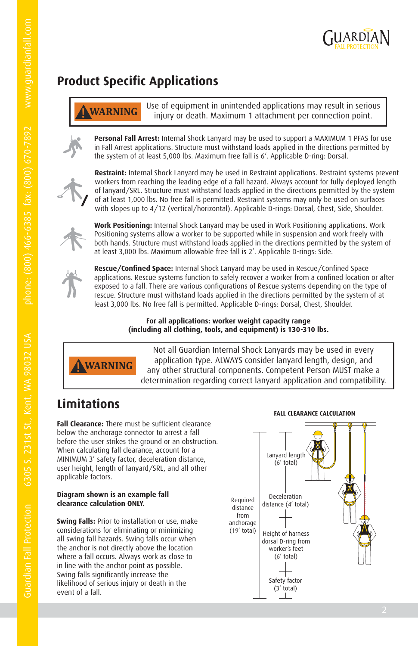

# **Product Specific Applications**

**! WARNING** Use of equipment in unintended applications may result in serious injury or death. Maximum 1 attachment per connection point.

**Personal Fall Arrest:** Internal Shock Lanyard may be used to support a MAXIMUM 1 PFAS for use in Fall Arrest applications. Structure must withstand loads applied in the directions permitted by the system of at least 5,000 lbs. Maximum free fall is 6'. Applicable D-ring: Dorsal.



**Restraint:** Internal Shock Lanyard may be used in Restraint applications. Restraint systems prevent workers from reaching the leading edge of a fall hazard. Always account for fully deployed length of lanyard/SRL. Structure must withstand loads applied in the directions permitted by the system of at least 1,000 lbs. No free fall is permitted. Restraint systems may only be used on surfaces with slopes up to 4/12 (vertical/horizontal). Applicable D-rings: Dorsal, Chest, Side, Shoulder.



**Work Positioning:** Internal Shock Lanyard may be used in Work Positioning applications. Work Positioning systems allow a worker to be supported while in suspension and work freely with both hands. Structure must withstand loads applied in the directions permitted by the system of at least 3,000 lbs. Maximum allowable free fall is 2'. Applicable D-rings: Side.



**Rescue/Confined Space:** Internal Shock Lanyard may be used in Rescue/Confined Space applications. Rescue systems function to safely recover a worker from a confined location or after exposed to a fall. There are various configurations of Rescue systems depending on the type of rescue. Structure must withstand loads applied in the directions permitted by the system of at least 3,000 lbs. No free fall is permitted. Applicable D-rings: Dorsal, Chest, Shoulder.

#### **For all applications: worker weight capacity range (including all clothing, tools, and equipment) is 130-310 lbs.**



Not all Guardian Internal Shock Lanyards may be used in every application type. ALWAYS consider lanyard length, design, and any other structural components. Competent Person MUST make a determination regarding correct lanyard application and compatibility.

# **Limitations**

**Fall Clearance:** There must be sufficient clearance below the anchorage connector to arrest a fall before the user strikes the ground or an obstruction. When calculating fall clearance, account for a MINIMUM 3' safety factor, deceleration distance, user height, length of lanyard/SRL, and all other applicable factors.

#### **Diagram shown is an example fall clearance calculation ONLY.**

**Swing Falls:** Prior to installation or use, make considerations for eliminating or minimizing all swing fall hazards. Swing falls occur when the anchor is not directly above the location where a fall occurs. Always work as close to in line with the anchor point as possible. Swing falls significantly increase the likelihood of serious injury or death in the event of a fall.



#### **FALL CLEARANCE CALCULATION**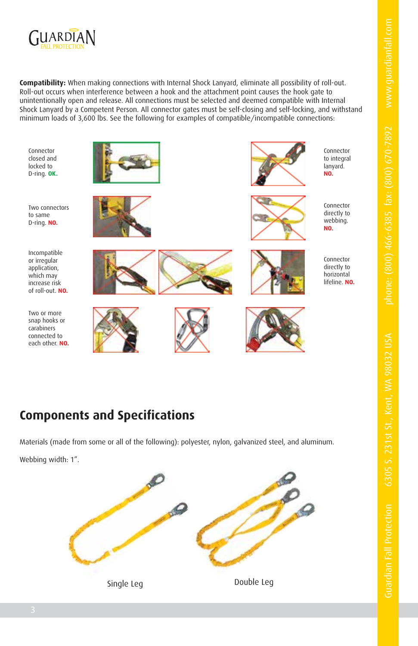

**Compatibility:** When making connections with Internal Shock Lanyard, eliminate all possibility of roll-out. Roll-out occurs when interference between a hook and the attachment point causes the hook gate to unintentionally open and release. All connections must be selected and deemed compatible with Internal Shock Lanyard by a Competent Person. All connector gates must be self-closing and self-locking, and withstand minimum loads of 3,600 lbs. See the following for examples of compatible/incompatible connections:

Connector closed and locked to D-ring. **OK.**

Two connectors to same D-ring. **NO.**

Incompatible or irregular application, which may increase risk of roll-out. **NO.**

Two or more snap hooks or carabiners connected to each other. **NO.**

















Connector directly to webbing. **NO.**



directly to horizontal lifeline. **NO.**



# **Components and Specifications**

Materials (made from some or all of the following): polyester, nylon, galvanized steel, and aluminum.

Webbing width: 1".

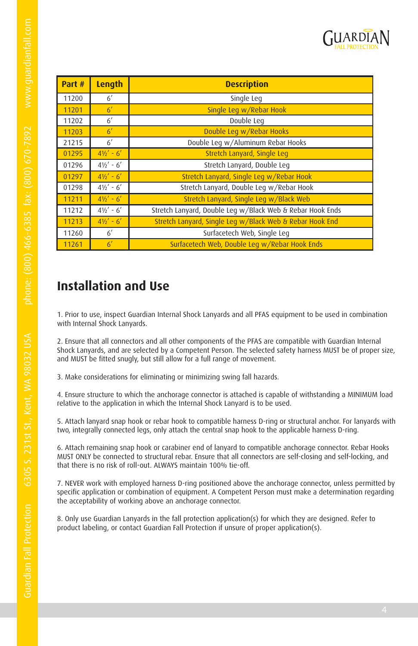

| Part # | Length              | <b>Description</b>                                        |
|--------|---------------------|-----------------------------------------------------------|
| 11200  | 6'                  | Single Leg                                                |
| 11201  | 6 <sup>′</sup>      | Single Leg w/Rebar Hook                                   |
| 11202  | 6'                  | Double Leg                                                |
| 11203  | 6 <sup>′</sup>      | Double Leg w/Rebar Hooks                                  |
| 21215  | 6'                  | Double Leg w/Aluminum Rebar Hooks                         |
| 01295  | $4\frac{1}{2}$ - 6' | Stretch Lanyard, Single Leg                               |
| 01296  | $4\frac{1}{2}$ - 6' | Stretch Lanyard, Double Leg                               |
| 01297  | $4\frac{1}{2}$ - 6' | Stretch Lanyard, Single Leg w/Rebar Hook                  |
| 01298  | $4\frac{1}{2}$ - 6' | Stretch Lanyard, Double Leg w/Rebar Hook                  |
| 11211  | $4\frac{1}{2}$ - 6' | Stretch Lanyard, Single Leg w/Black Web                   |
| 11212  | $4\frac{1}{2}$ - 6' | Stretch Lanyard, Double Leg w/Black Web & Rebar Hook Ends |
| 11213  | $4\frac{1}{6}$ - 6' | Stretch Lanyard, Single Leg w/Black Web & Rebar Hook End  |
| 11260  | 6'                  | Surfacetech Web, Single Leg                               |
| 11261  | 6 <sup>′</sup>      | Surfacetech Web, Double Leg w/Rebar Hook Ends             |

# **Installation and Use**

1. Prior to use, inspect Guardian Internal Shock Lanyards and all PFAS equipment to be used in combination with Internal Shock Lanyards.

2. Ensure that all connectors and all other components of the PFAS are compatible with Guardian Internal Shock Lanyards, and are selected by a Competent Person. The selected safety harness MUST be of proper size, and MUST be fitted snugly, but still allow for a full range of movement.

3. Make considerations for eliminating or minimizing swing fall hazards.

4. Ensure structure to which the anchorage connector is attached is capable of withstanding a MINIMUM load relative to the application in which the Internal Shock Lanyard is to be used.

5. Attach lanyard snap hook or rebar hook to compatible harness D-ring or structural anchor. For lanyards with two, integrally connected legs, only attach the central snap hook to the applicable harness D-ring.

6. Attach remaining snap hook or carabiner end of lanyard to compatible anchorage connector. Rebar Hooks MUST ONLY be connected to structural rebar. Ensure that all connectors are self-closing and self-locking, and that there is no risk of roll-out. ALWAYS maintain 100% tie-off.

7. NEVER work with employed harness D-ring positioned above the anchorage connector, unless permitted by specific application or combination of equipment. A Competent Person must make a determination regarding the acceptability of working above an anchorage connector.

8. Only use Guardian Lanyards in the fall protection application(s) for which they are designed. Refer to product labeling, or contact Guardian Fall Protection if unsure of proper application(s).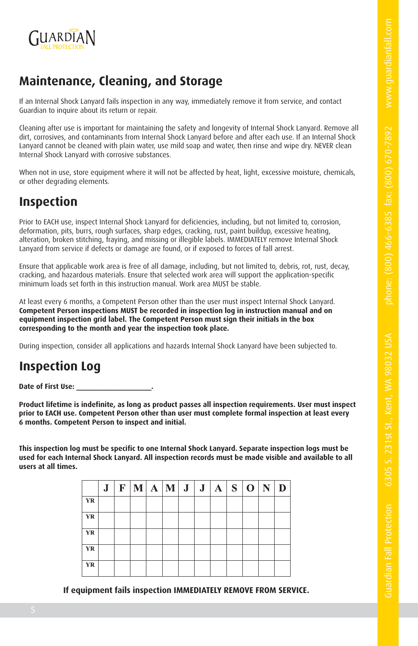Guardian Fall Protection 6305 S. 231st St., Kent, W



# **Maintenance, Cleaning, and Storage**

If an Internal Shock Lanyard fails inspection in any way, immediately remove it from service, and contact Guardian to inquire about its return or repair.

Cleaning after use is important for maintaining the safety and longevity of Internal Shock Lanyard. Remove all dirt, corrosives, and contaminants from Internal Shock Lanyard before and after each use. If an Internal Shock Lanyard cannot be cleaned with plain water, use mild soap and water, then rinse and wipe dry. NEVER clean Internal Shock Lanyard with corrosive substances.

When not in use, store equipment where it will not be affected by heat, light, excessive moisture, chemicals, or other degrading elements.

## **Inspection**

Prior to EACH use, inspect Internal Shock Lanyard for deficiencies, including, but not limited to, corrosion, deformation, pits, burrs, rough surfaces, sharp edges, cracking, rust, paint buildup, excessive heating, alteration, broken stitching, fraying, and missing or illegible labels. IMMEDIATELY remove Internal Shock Lanyard from service if defects or damage are found, or if exposed to forces of fall arrest.

Ensure that applicable work area is free of all damage, including, but not limited to, debris, rot, rust, decay, cracking, and hazardous materials. Ensure that selected work area will support the application-specific minimum loads set forth in this instruction manual. Work area MUST be stable.

At least every 6 months, a Competent Person other than the user must inspect Internal Shock Lanyard. **Competent Person inspections MUST be recorded in inspection log in instruction manual and on equipment inspection grid label. The Competent Person must sign their initials in the box corresponding to the month and year the inspection took place.**

During inspection, consider all applications and hazards Internal Shock Lanyard have been subjected to.

# **Inspection Log**

Date of First Use:

**Product lifetime is indefinite, as long as product passes all inspection requirements. User must inspect prior to EACH use. Competent Person other than user must complete formal inspection at least every 6 months. Competent Person to inspect and initial.**

**This inspection log must be specific to one Internal Shock Lanyard. Separate inspection logs must be used for each Internal Shock Lanyard. All inspection records must be made visible and available to all users at all times.**

|           |  | $J \mid F \mid M \mid A \mid M \mid J \mid J \mid A \mid S \mid O \mid N$ |  |  |  |  |  |
|-----------|--|---------------------------------------------------------------------------|--|--|--|--|--|
| <b>YR</b> |  |                                                                           |  |  |  |  |  |
| <b>YR</b> |  |                                                                           |  |  |  |  |  |
| YR        |  |                                                                           |  |  |  |  |  |
| i YR      |  |                                                                           |  |  |  |  |  |
| YR        |  |                                                                           |  |  |  |  |  |

**If equipment fails inspection IMMEDIATELY REMOVE FROM SERVICE.**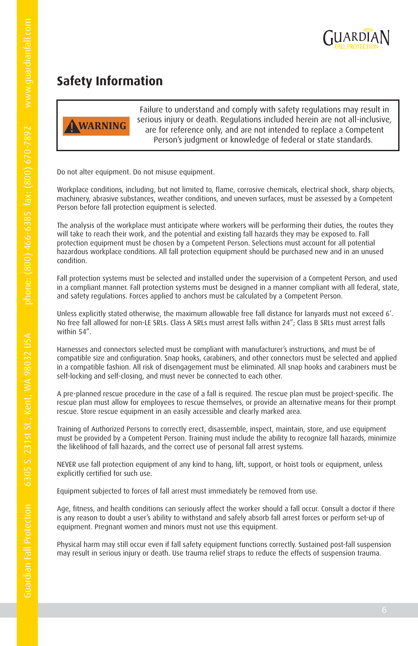

# **Safety Information**



Failure to understand and comply with safety regulations may result in serious injury or death. Regulations included herein are not all-inclusive, are for reference only, and are not intended to replace a Competent Person's judgment or knowledge of federal or state standards.

Do not alter equipment. Do not misuse equipment.

Workplace conditions, including, but not limited to, flame, corrosive chemicals, electrical shock, sharp objects, machinery, abrasive substances, weather conditions, and uneven surfaces, must be assessed by a Competent Person before fall protection equipment is selected.

The analysis of the workplace must anticipate where workers will be performing their duties, the routes they will take to reach their work, and the potential and existing fall hazards they may be exposed to. Fall protection equipment must be chosen by a Competent Person. Selections must account for all potential hazardous workplace conditions. All fall protection equipment should be purchased new and in an unused condition.

Fall protection systems must be selected and installed under the supervision of a Competent Person, and used in a compliant manner. Fall protection systems must be designed in a manner compliant with all federal, state, and safety regulations. Forces applied to anchors must be calculated by a Competent Person.

Unless explicitly stated otherwise, the maximum allowable free fall distance for lanyards must not exceed 6'. No free fall allowed for non-LE SRLs. Class A SRLs must arrest falls within 24"; Class B SRLs must arrest falls within 54".

Harnesses and connectors selected must be compliant with manufacturer's instructions, and must be of compatible size and configuration. Snap hooks, carabiners, and other connectors must be selected and applied in a compatible fashion. All risk of disengagement must be eliminated. All snap hooks and carabiners must be self-locking and self-closing, and must never be connected to each other.

A pre-planned rescue procedure in the case of a fall is required. The rescue plan must be project-specific. The rescue plan must allow for employees to rescue themselves, or provide an alternative means for their prompt rescue. Store rescue equipment in an easily accessible and clearly marked area.

Training of Authorized Persons to correctly erect, disassemble, inspect, maintain, store, and use equipment must be provided by a Competent Person. Training must include the ability to recognize fall hazards, minimize the likelihood of fall hazards, and the correct use of personal fall arrest systems.

NEVER use fall protection equipment of any kind to hang, lift, support, or hoist tools or equipment, unless explicitly certified for such use.

Equipment subjected to forces of fall arrest must immediately be removed from use.

Age, fitness, and health conditions can seriously affect the worker should a fall occur. Consult a doctor if there is any reason to doubt a user's ability to withstand and safely absorb fall arrest forces or perform set-up of equipment. Pregnant women and minors must not use this equipment.

Physical harm may still occur even if fall safety equipment functions correctly. Sustained post-fall suspension may result in serious injury or death. Use trauma relief straps to reduce the effects of suspension trauma.